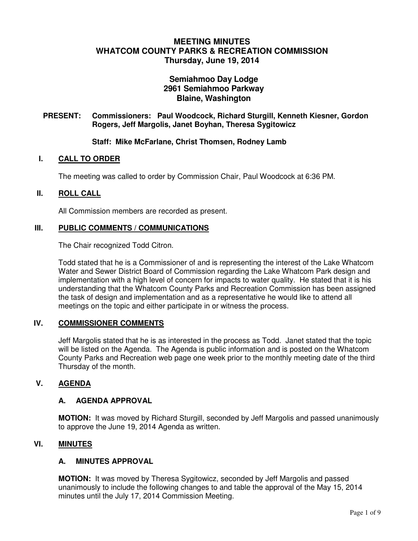# **MEETING MINUTES WHATCOM COUNTY PARKS & RECREATION COMMISSION Thursday, June 19, 2014**

# **Semiahmoo Day Lodge 2961 Semiahmoo Parkway Blaine, Washington**

### **PRESENT: Commissioners: Paul Woodcock, Richard Sturgill, Kenneth Kiesner, Gordon Rogers, Jeff Margolis, Janet Boyhan, Theresa Sygitowicz**

### **Staff: Mike McFarlane, Christ Thomsen, Rodney Lamb**

#### **I. CALL TO ORDER**

The meeting was called to order by Commission Chair, Paul Woodcock at 6:36 PM.

#### **II. ROLL CALL**

All Commission members are recorded as present.

### **III. PUBLIC COMMENTS / COMMUNICATIONS**

The Chair recognized Todd Citron.

Todd stated that he is a Commissioner of and is representing the interest of the Lake Whatcom Water and Sewer District Board of Commission regarding the Lake Whatcom Park design and implementation with a high level of concern for impacts to water quality. He stated that it is his understanding that the Whatcom County Parks and Recreation Commission has been assigned the task of design and implementation and as a representative he would like to attend all meetings on the topic and either participate in or witness the process.

### **IV. COMMISSIONER COMMENTS**

Jeff Margolis stated that he is as interested in the process as Todd. Janet stated that the topic will be listed on the Agenda. The Agenda is public information and is posted on the Whatcom County Parks and Recreation web page one week prior to the monthly meeting date of the third Thursday of the month.

#### **V. AGENDA**

#### **A. AGENDA APPROVAL**

**MOTION:** It was moved by Richard Sturgill, seconded by Jeff Margolis and passed unanimously to approve the June 19, 2014 Agenda as written.

### **VI. MINUTES**

### **A. MINUTES APPROVAL**

**MOTION:** It was moved by Theresa Sygitowicz, seconded by Jeff Margolis and passed unanimously to include the following changes to and table the approval of the May 15, 2014 minutes until the July 17, 2014 Commission Meeting.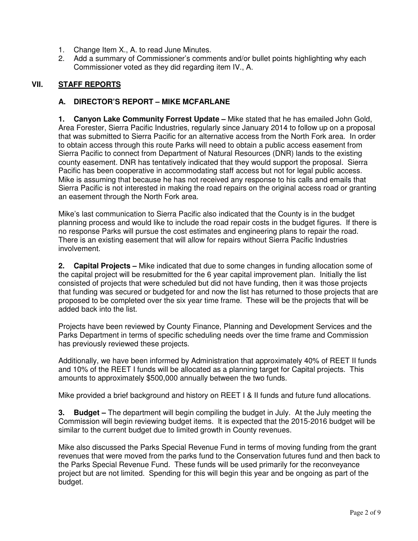- 1. Change Item X., A. to read June Minutes.
- 2. Add a summary of Commissioner's comments and/or bullet points highlighting why each Commissioner voted as they did regarding item IV., A.

# **VII. STAFF REPORTS**

# **A. DIRECTOR'S REPORT – MIKE MCFARLANE**

**1. Canyon Lake Community Forrest Update –** Mike stated that he has emailed John Gold, Area Forester, Sierra Pacific Industries, regularly since January 2014 to follow up on a proposal that was submitted to Sierra Pacific for an alternative access from the North Fork area. In order to obtain access through this route Parks will need to obtain a public access easement from Sierra Pacific to connect from Department of Natural Resources (DNR) lands to the existing county easement. DNR has tentatively indicated that they would support the proposal. Sierra Pacific has been cooperative in accommodating staff access but not for legal public access. Mike is assuming that because he has not received any response to his calls and emails that Sierra Pacific is not interested in making the road repairs on the original access road or granting an easement through the North Fork area.

Mike's last communication to Sierra Pacific also indicated that the County is in the budget planning process and would like to include the road repair costs in the budget figures. If there is no response Parks will pursue the cost estimates and engineering plans to repair the road. There is an existing easement that will allow for repairs without Sierra Pacific Industries involvement.

**2. Capital Projects –** Mike indicated that due to some changes in funding allocation some of the capital project will be resubmitted for the 6 year capital improvement plan. Initially the list consisted of projects that were scheduled but did not have funding, then it was those projects that funding was secured or budgeted for and now the list has returned to those projects that are proposed to be completed over the six year time frame. These will be the projects that will be added back into the list.

Projects have been reviewed by County Finance, Planning and Development Services and the Parks Department in terms of specific scheduling needs over the time frame and Commission has previously reviewed these projects.

Additionally, we have been informed by Administration that approximately 40% of REET II funds and 10% of the REET I funds will be allocated as a planning target for Capital projects. This amounts to approximately \$500,000 annually between the two funds.

Mike provided a brief background and history on REET I & II funds and future fund allocations.

**3. Budget –** The department will begin compiling the budget in July. At the July meeting the Commission will begin reviewing budget items. It is expected that the 2015-2016 budget will be similar to the current budget due to limited growth in County revenues.

Mike also discussed the Parks Special Revenue Fund in terms of moving funding from the grant revenues that were moved from the parks fund to the Conservation futures fund and then back to the Parks Special Revenue Fund. These funds will be used primarily for the reconveyance project but are not limited. Spending for this will begin this year and be ongoing as part of the budget.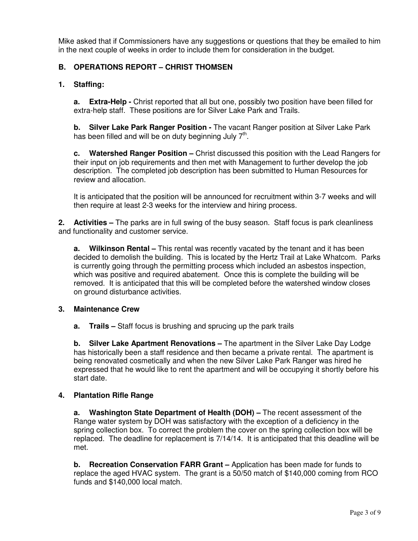Mike asked that if Commissioners have any suggestions or questions that they be emailed to him in the next couple of weeks in order to include them for consideration in the budget.

## **B. OPERATIONS REPORT – CHRIST THOMSEN**

## **1. Staffing:**

**a.** Extra-Help - Christ reported that all but one, possibly two position have been filled for extra-help staff. These positions are for Silver Lake Park and Trails.

**b. Silver Lake Park Ranger Position -** The vacant Ranger position at Silver Lake Park has been filled and will be on duty beginning July  $7<sup>th</sup>$ .

**c. Watershed Ranger Position –** Christ discussed this position with the Lead Rangers for their input on job requirements and then met with Management to further develop the job description. The completed job description has been submitted to Human Resources for review and allocation.

It is anticipated that the position will be announced for recruitment within 3-7 weeks and will then require at least 2-3 weeks for the interview and hiring process.

**2. Activities –** The parks are in full swing of the busy season. Staff focus is park cleanliness and functionality and customer service.

**a. Wilkinson Rental –** This rental was recently vacated by the tenant and it has been decided to demolish the building. This is located by the Hertz Trail at Lake Whatcom. Parks is currently going through the permitting process which included an asbestos inspection, which was positive and required abatement. Once this is complete the building will be removed. It is anticipated that this will be completed before the watershed window closes on ground disturbance activities.

### **3. Maintenance Crew**

**a. Trails –** Staff focus is brushing and sprucing up the park trails

**b. Silver Lake Apartment Renovations –** The apartment in the Silver Lake Day Lodge has historically been a staff residence and then became a private rental. The apartment is being renovated cosmetically and when the new Silver Lake Park Ranger was hired he expressed that he would like to rent the apartment and will be occupying it shortly before his start date.

### **4. Plantation Rifle Range**

**a. Washington State Department of Health (DOH) –** The recent assessment of the Range water system by DOH was satisfactory with the exception of a deficiency in the spring collection box. To correct the problem the cover on the spring collection box will be replaced. The deadline for replacement is 7/14/14. It is anticipated that this deadline will be met.

**b. Recreation Conservation FARR Grant –** Application has been made for funds to replace the aged HVAC system. The grant is a 50/50 match of \$140,000 coming from RCO funds and \$140,000 local match.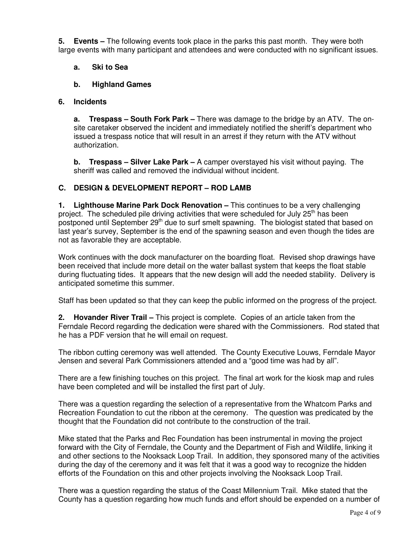**5. Events –** The following events took place in the parks this past month. They were both large events with many participant and attendees and were conducted with no significant issues.

## **a. Ski to Sea**

## **b. Highland Games**

# **6. Incidents**

**a. Trespass – South Fork Park –** There was damage to the bridge by an ATV. The onsite caretaker observed the incident and immediately notified the sheriff's department who issued a trespass notice that will result in an arrest if they return with the ATV without authorization.

**b. Trespass – Silver Lake Park –** A camper overstayed his visit without paying. The sheriff was called and removed the individual without incident.

# **C. DESIGN & DEVELOPMENT REPORT – ROD LAMB**

**1. Lighthouse Marine Park Dock Renovation –** This continues to be a very challenging project. The scheduled pile driving activities that were scheduled for July 25<sup>th</sup> has been postponed until September 29<sup>th</sup> due to surf smelt spawning. The biologist stated that based on last year's survey, September is the end of the spawning season and even though the tides are not as favorable they are acceptable.

Work continues with the dock manufacturer on the boarding float. Revised shop drawings have been received that include more detail on the water ballast system that keeps the float stable during fluctuating tides. It appears that the new design will add the needed stability. Delivery is anticipated sometime this summer.

Staff has been updated so that they can keep the public informed on the progress of the project.

**2. Hovander River Trail –** This project is complete. Copies of an article taken from the Ferndale Record regarding the dedication were shared with the Commissioners. Rod stated that he has a PDF version that he will email on request.

The ribbon cutting ceremony was well attended. The County Executive Louws, Ferndale Mayor Jensen and several Park Commissioners attended and a "good time was had by all".

There are a few finishing touches on this project. The final art work for the kiosk map and rules have been completed and will be installed the first part of July.

There was a question regarding the selection of a representative from the Whatcom Parks and Recreation Foundation to cut the ribbon at the ceremony. The question was predicated by the thought that the Foundation did not contribute to the construction of the trail.

Mike stated that the Parks and Rec Foundation has been instrumental in moving the project forward with the City of Ferndale, the County and the Department of Fish and Wildlife, linking it and other sections to the Nooksack Loop Trail. In addition, they sponsored many of the activities during the day of the ceremony and it was felt that it was a good way to recognize the hidden efforts of the Foundation on this and other projects involving the Nooksack Loop Trail.

There was a question regarding the status of the Coast Millennium Trail. Mike stated that the County has a question regarding how much funds and effort should be expended on a number of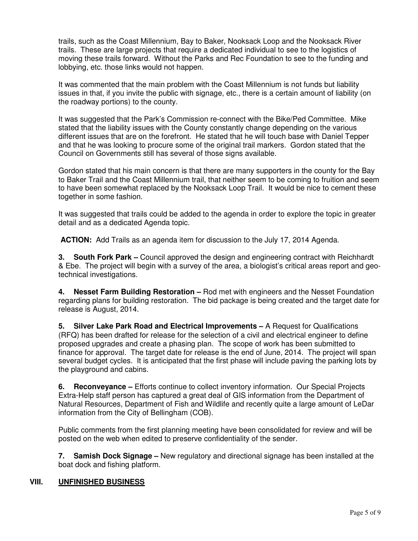trails, such as the Coast Millennium, Bay to Baker, Nooksack Loop and the Nooksack River trails. These are large projects that require a dedicated individual to see to the logistics of moving these trails forward. Without the Parks and Rec Foundation to see to the funding and lobbying, etc. those links would not happen.

It was commented that the main problem with the Coast Millennium is not funds but liability issues in that, if you invite the public with signage, etc., there is a certain amount of liability (on the roadway portions) to the county.

It was suggested that the Park's Commission re-connect with the Bike/Ped Committee. Mike stated that the liability issues with the County constantly change depending on the various different issues that are on the forefront. He stated that he will touch base with Daniel Tepper and that he was looking to procure some of the original trail markers. Gordon stated that the Council on Governments still has several of those signs available.

Gordon stated that his main concern is that there are many supporters in the county for the Bay to Baker Trail and the Coast Millennium trail, that neither seem to be coming to fruition and seem to have been somewhat replaced by the Nooksack Loop Trail. It would be nice to cement these together in some fashion.

It was suggested that trails could be added to the agenda in order to explore the topic in greater detail and as a dedicated Agenda topic.

**ACTION:** Add Trails as an agenda item for discussion to the July 17, 2014 Agenda.

**3. South Fork Park –** Council approved the design and engineering contract with Reichhardt & Ebe. The project will begin with a survey of the area, a biologist's critical areas report and geotechnical investigations.

**4. Nesset Farm Building Restoration –** Rod met with engineers and the Nesset Foundation regarding plans for building restoration. The bid package is being created and the target date for release is August, 2014.

**5. Silver Lake Park Road and Electrical Improvements –** A Request for Qualifications (RFQ) has been drafted for release for the selection of a civil and electrical engineer to define proposed upgrades and create a phasing plan. The scope of work has been submitted to finance for approval. The target date for release is the end of June, 2014. The project will span several budget cycles. It is anticipated that the first phase will include paving the parking lots by the playground and cabins.

**6. Reconveyance –** Efforts continue to collect inventory information. Our Special Projects Extra-Help staff person has captured a great deal of GIS information from the Department of Natural Resources, Department of Fish and Wildlife and recently quite a large amount of LeDar information from the City of Bellingham (COB).

Public comments from the first planning meeting have been consolidated for review and will be posted on the web when edited to preserve confidentiality of the sender.

**7. Samish Dock Signage –** New regulatory and directional signage has been installed at the boat dock and fishing platform.

### **VIII. UNFINISHED BUSINESS**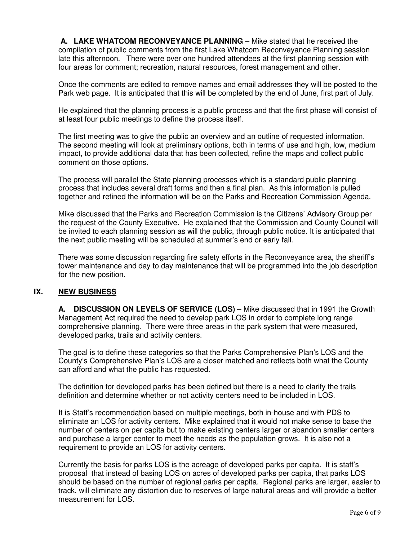**A. LAKE WHATCOM RECONVEYANCE PLANNING –** Mike stated that he received the compilation of public comments from the first Lake Whatcom Reconveyance Planning session late this afternoon. There were over one hundred attendees at the first planning session with four areas for comment; recreation, natural resources, forest management and other.

Once the comments are edited to remove names and email addresses they will be posted to the Park web page. It is anticipated that this will be completed by the end of June, first part of July.

He explained that the planning process is a public process and that the first phase will consist of at least four public meetings to define the process itself.

The first meeting was to give the public an overview and an outline of requested information. The second meeting will look at preliminary options, both in terms of use and high, low, medium impact, to provide additional data that has been collected, refine the maps and collect public comment on those options.

The process will parallel the State planning processes which is a standard public planning process that includes several draft forms and then a final plan. As this information is pulled together and refined the information will be on the Parks and Recreation Commission Agenda.

Mike discussed that the Parks and Recreation Commission is the Citizens' Advisory Group per the request of the County Executive. He explained that the Commission and County Council will be invited to each planning session as will the public, through public notice. It is anticipated that the next public meeting will be scheduled at summer's end or early fall.

There was some discussion regarding fire safety efforts in the Reconveyance area, the sheriff's tower maintenance and day to day maintenance that will be programmed into the job description for the new position.

### **IX. NEW BUSINESS**

**A. DISCUSSION ON LEVELS OF SERVICE (LOS) –** Mike discussed that in 1991 the Growth Management Act required the need to develop park LOS in order to complete long range comprehensive planning. There were three areas in the park system that were measured, developed parks, trails and activity centers.

The goal is to define these categories so that the Parks Comprehensive Plan's LOS and the County's Comprehensive Plan's LOS are a closer matched and reflects both what the County can afford and what the public has requested.

The definition for developed parks has been defined but there is a need to clarify the trails definition and determine whether or not activity centers need to be included in LOS.

It is Staff's recommendation based on multiple meetings, both in-house and with PDS to eliminate an LOS for activity centers. Mike explained that it would not make sense to base the number of centers on per capita but to make existing centers larger or abandon smaller centers and purchase a larger center to meet the needs as the population grows. It is also not a requirement to provide an LOS for activity centers.

Currently the basis for parks LOS is the acreage of developed parks per capita. It is staff's proposal that instead of basing LOS on acres of developed parks per capita, that parks LOS should be based on the number of regional parks per capita. Regional parks are larger, easier to track, will eliminate any distortion due to reserves of large natural areas and will provide a better measurement for LOS.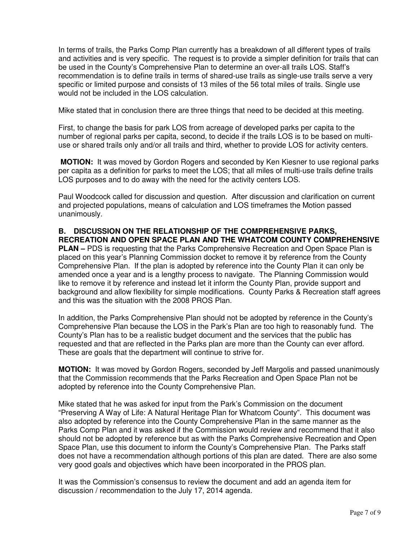In terms of trails, the Parks Comp Plan currently has a breakdown of all different types of trails and activities and is very specific. The request is to provide a simpler definition for trails that can be used in the County's Comprehensive Plan to determine an over-all trails LOS. Staff's recommendation is to define trails in terms of shared-use trails as single-use trails serve a very specific or limited purpose and consists of 13 miles of the 56 total miles of trails. Single use would not be included in the LOS calculation.

Mike stated that in conclusion there are three things that need to be decided at this meeting.

First, to change the basis for park LOS from acreage of developed parks per capita to the number of regional parks per capita, second, to decide if the trails LOS is to be based on multiuse or shared trails only and/or all trails and third, whether to provide LOS for activity centers.

**MOTION:** It was moved by Gordon Rogers and seconded by Ken Kiesner to use regional parks per capita as a definition for parks to meet the LOS; that all miles of multi-use trails define trails LOS purposes and to do away with the need for the activity centers LOS.

Paul Woodcock called for discussion and question. After discussion and clarification on current and projected populations, means of calculation and LOS timeframes the Motion passed unanimously.

## **B. DISCUSSION ON THE RELATIONSHIP OF THE COMPREHENSIVE PARKS, RECREATION AND OPEN SPACE PLAN AND THE WHATCOM COUNTY COMPREHENSIVE**

**PLAN –** PDS is requesting that the Parks Comprehensive Recreation and Open Space Plan is placed on this year's Planning Commission docket to remove it by reference from the County Comprehensive Plan. If the plan is adopted by reference into the County Plan it can only be amended once a year and is a lengthy process to navigate. The Planning Commission would like to remove it by reference and instead let it inform the County Plan, provide support and background and allow flexibility for simple modifications. County Parks & Recreation staff agrees and this was the situation with the 2008 PROS Plan.

In addition, the Parks Comprehensive Plan should not be adopted by reference in the County's Comprehensive Plan because the LOS in the Park's Plan are too high to reasonably fund. The County's Plan has to be a realistic budget document and the services that the public has requested and that are reflected in the Parks plan are more than the County can ever afford. These are goals that the department will continue to strive for.

**MOTION:** It was moved by Gordon Rogers, seconded by Jeff Margolis and passed unanimously that the Commission recommends that the Parks Recreation and Open Space Plan not be adopted by reference into the County Comprehensive Plan.

Mike stated that he was asked for input from the Park's Commission on the document "Preserving A Way of Life: A Natural Heritage Plan for Whatcom County". This document was also adopted by reference into the County Comprehensive Plan in the same manner as the Parks Comp Plan and it was asked if the Commission would review and recommend that it also should not be adopted by reference but as with the Parks Comprehensive Recreation and Open Space Plan, use this document to inform the County's Comprehensive Plan. The Parks staff does not have a recommendation although portions of this plan are dated. There are also some very good goals and objectives which have been incorporated in the PROS plan.

It was the Commission's consensus to review the document and add an agenda item for discussion / recommendation to the July 17, 2014 agenda.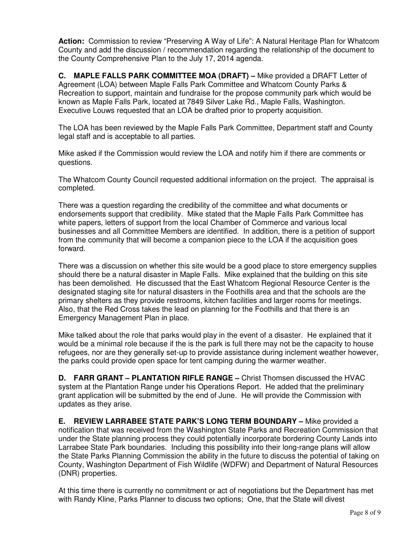**Action:** Commission to review "Preserving A Way of Life": A Natural Heritage Plan for Whatcom County and add the discussion / recommendation regarding the relationship of the document to the County Comprehensive Plan to the July 17, 2014 agenda.

**C. MAPLE FALLS PARK COMMITTEE MOA (DRAFT) –** Mike provided a DRAFT Letter of Agreement (LOA) between Maple Falls Park Committee and Whatcom County Parks & Recreation to support, maintain and fundraise for the propose community park which would be known as Maple Falls Park, located at 7849 Silver Lake Rd., Maple Falls, Washington. Executive Louws requested that an LOA be drafted prior to property acquisition.

The LOA has been reviewed by the Maple Falls Park Committee, Department staff and County legal staff and is acceptable to all parties.

Mike asked if the Commission would review the LOA and notify him if there are comments or questions.

The Whatcom County Council requested additional information on the project. The appraisal is completed.

There was a question regarding the credibility of the committee and what documents or endorsements support that credibility. Mike stated that the Maple Falls Park Committee has white papers, letters of support from the local Chamber of Commerce and various local businesses and all Committee Members are identified. In addition, there is a petition of support from the community that will become a companion piece to the LOA if the acquisition goes forward.

There was a discussion on whether this site would be a good place to store emergency supplies should there be a natural disaster in Maple Falls. Mike explained that the building on this site has been demolished. He discussed that the East Whatcom Regional Resource Center is the designated staging site for natural disasters in the Foothills area and that the schools are the primary shelters as they provide restrooms, kitchen facilities and larger rooms for meetings. Also, that the Red Cross takes the lead on planning for the Foothills and that there is an Emergency Management Plan in place.

Mike talked about the role that parks would play in the event of a disaster. He explained that it would be a minimal role because if the is the park is full there may not be the capacity to house refugees, nor are they generally set-up to provide assistance during inclement weather however, the parks could provide open space for tent camping during the warmer weather.

**D. FARR GRANT – PLANTATION RIFLE RANGE –** Christ Thomsen discussed the HVAC system at the Plantation Range under his Operations Report. He added that the preliminary grant application will be submitted by the end of June. He will provide the Commission with updates as they arise.

**E. REVIEW LARRABEE STATE PARK'S LONG TERM BOUNDARY –** Mike provided a notification that was received from the Washington State Parks and Recreation Commission that under the State planning process they could potentially incorporate bordering County Lands into Larrabee State Park boundaries. Including this possibility into their long-range plans will allow the State Parks Planning Commission the ability in the future to discuss the potential of taking on County, Washington Department of Fish Wildlife (WDFW) and Department of Natural Resources (DNR) properties.

At this time there is currently no commitment or act of negotiations but the Department has met with Randy Kline, Parks Planner to discuss two options; One, that the State will divest